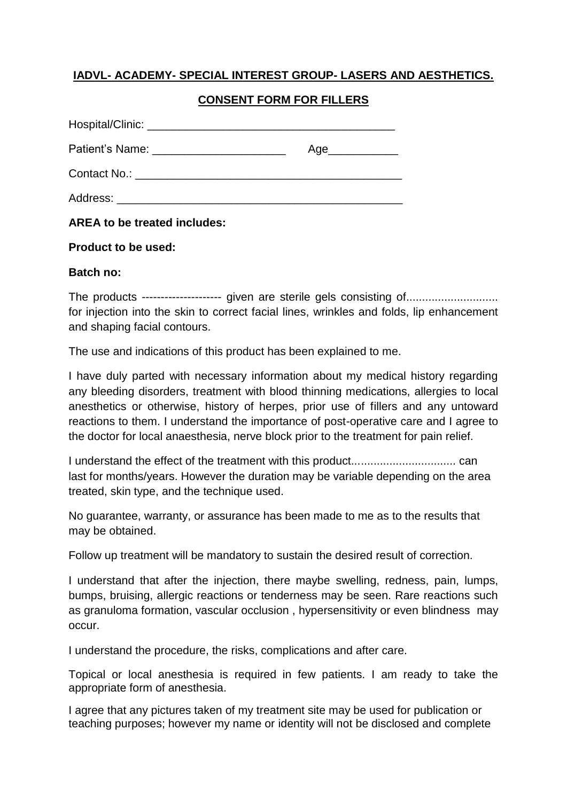## **IADVL- ACADEMY- SPECIAL INTEREST GROUP- LASERS AND AESTHETICS.**

## **CONSENT FORM FOR FILLERS**

|             | Age |
|-------------|-----|
|             |     |
| Address: __ |     |

**AREA to be treated includes:**

## **Product to be used:**

## **Batch no:**

The products --------------------- given are sterile gels consisting of............................. for injection into the skin to correct facial lines, wrinkles and folds, lip enhancement and shaping facial contours.

The use and indications of this product has been explained to me.

I have duly parted with necessary information about my medical history regarding any bleeding disorders, treatment with blood thinning medications, allergies to local anesthetics or otherwise, history of herpes, prior use of fillers and any untoward reactions to them. I understand the importance of post-operative care and I agree to the doctor for local anaesthesia, nerve block prior to the treatment for pain relief.

I understand the effect of the treatment with this product................................. can last for months/years. However the duration may be variable depending on the area treated, skin type, and the technique used.

No guarantee, warranty, or assurance has been made to me as to the results that may be obtained.

Follow up treatment will be mandatory to sustain the desired result of correction.

I understand that after the injection, there maybe swelling, redness, pain, lumps, bumps, bruising, allergic reactions or tenderness may be seen. Rare reactions such as granuloma formation, vascular occlusion , hypersensitivity or even blindness may occur.

I understand the procedure, the risks, complications and after care.

Topical or local anesthesia is required in few patients. I am ready to take the appropriate form of anesthesia.

I agree that any pictures taken of my treatment site may be used for publication or teaching purposes; however my name or identity will not be disclosed and complete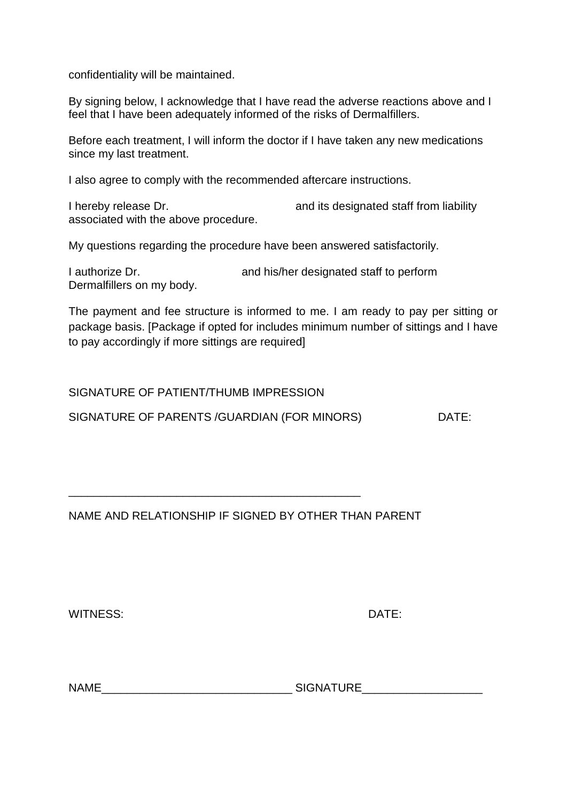confidentiality will be maintained.

By signing below, I acknowledge that I have read the adverse reactions above and I feel that I have been adequately informed of the risks of Dermalfillers.

Before each treatment, I will inform the doctor if I have taken any new medications since my last treatment.

I also agree to comply with the recommended aftercare instructions.

I hereby release Dr. **and its designated staff from liability** associated with the above procedure.

My questions regarding the procedure have been answered satisfactorily.

I authorize Dr. **and his/her designated staff to perform** Dermalfillers on my body.

The payment and fee structure is informed to me. I am ready to pay per sitting or package basis. [Package if opted for includes minimum number of sittings and I have to pay accordingly if more sittings are required]

SIGNATURE OF PATIENT/THUMB IMPRESSION

SIGNATURE OF PARENTS / GUARDIAN (FOR MINORS) DATE:

\_\_\_\_\_\_\_\_\_\_\_\_\_\_\_\_\_\_\_\_\_\_\_\_\_\_\_\_\_\_\_\_\_\_\_\_\_\_\_\_\_\_\_\_\_\_

NAME AND RELATIONSHIP IF SIGNED BY OTHER THAN PARENT

WITNESS: DATE:

NAME\_\_\_\_\_\_\_\_\_\_\_\_\_\_\_\_\_\_\_\_\_\_\_\_\_\_\_\_\_\_ SIGNATURE\_\_\_\_\_\_\_\_\_\_\_\_\_\_\_\_\_\_\_